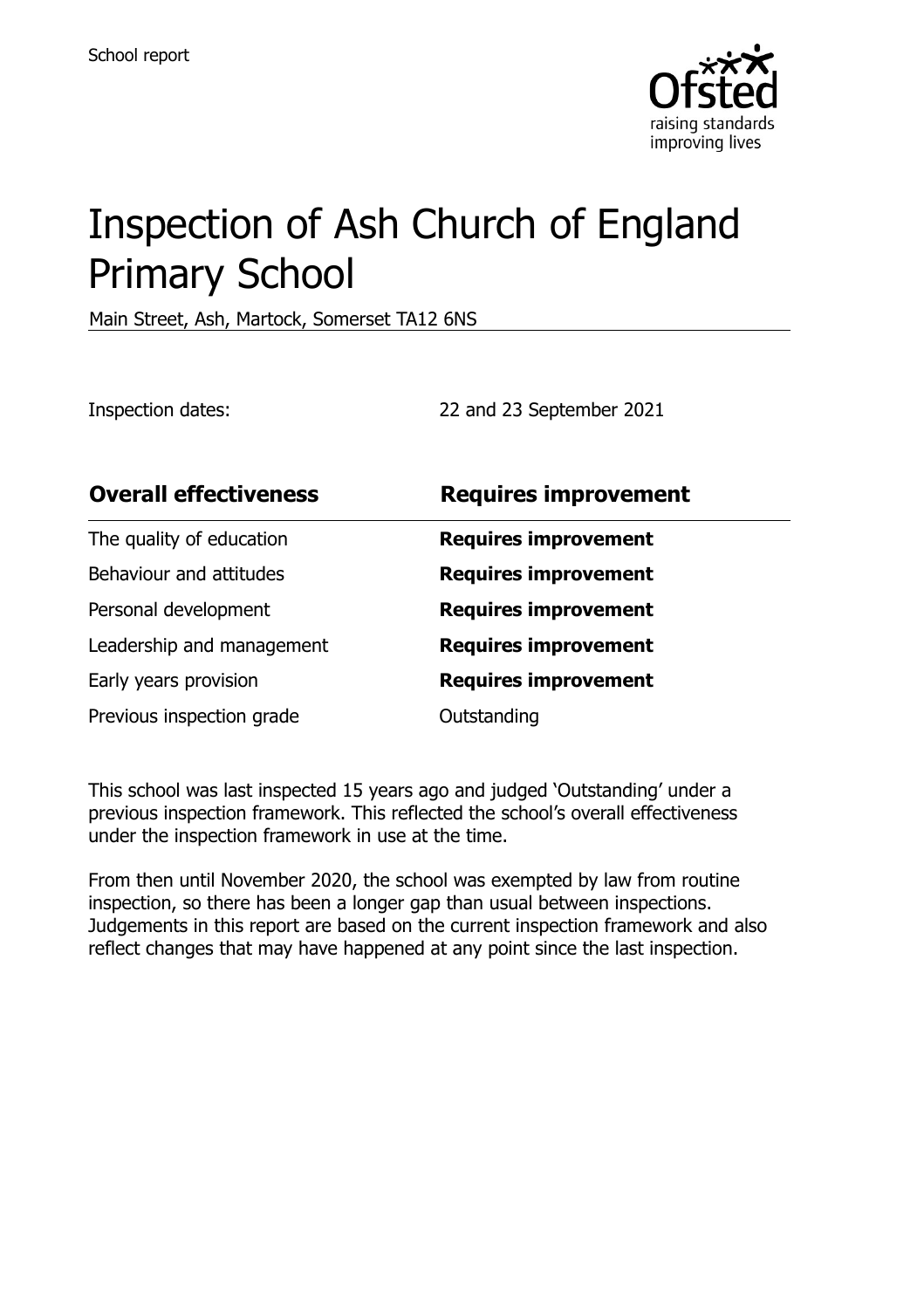

# Inspection of Ash Church of England Primary School

Main Street, Ash, Martock, Somerset TA12 6NS

Inspection dates: 22 and 23 September 2021

| <b>Overall effectiveness</b> | <b>Requires improvement</b> |
|------------------------------|-----------------------------|
| The quality of education     | <b>Requires improvement</b> |
| Behaviour and attitudes      | <b>Requires improvement</b> |
| Personal development         | <b>Requires improvement</b> |
| Leadership and management    | <b>Requires improvement</b> |
| Early years provision        | <b>Requires improvement</b> |
| Previous inspection grade    | Outstanding                 |

This school was last inspected 15 years ago and judged 'Outstanding' under a previous inspection framework. This reflected the school's overall effectiveness under the inspection framework in use at the time.

From then until November 2020, the school was exempted by law from routine inspection, so there has been a longer gap than usual between inspections. Judgements in this report are based on the current inspection framework and also reflect changes that may have happened at any point since the last inspection.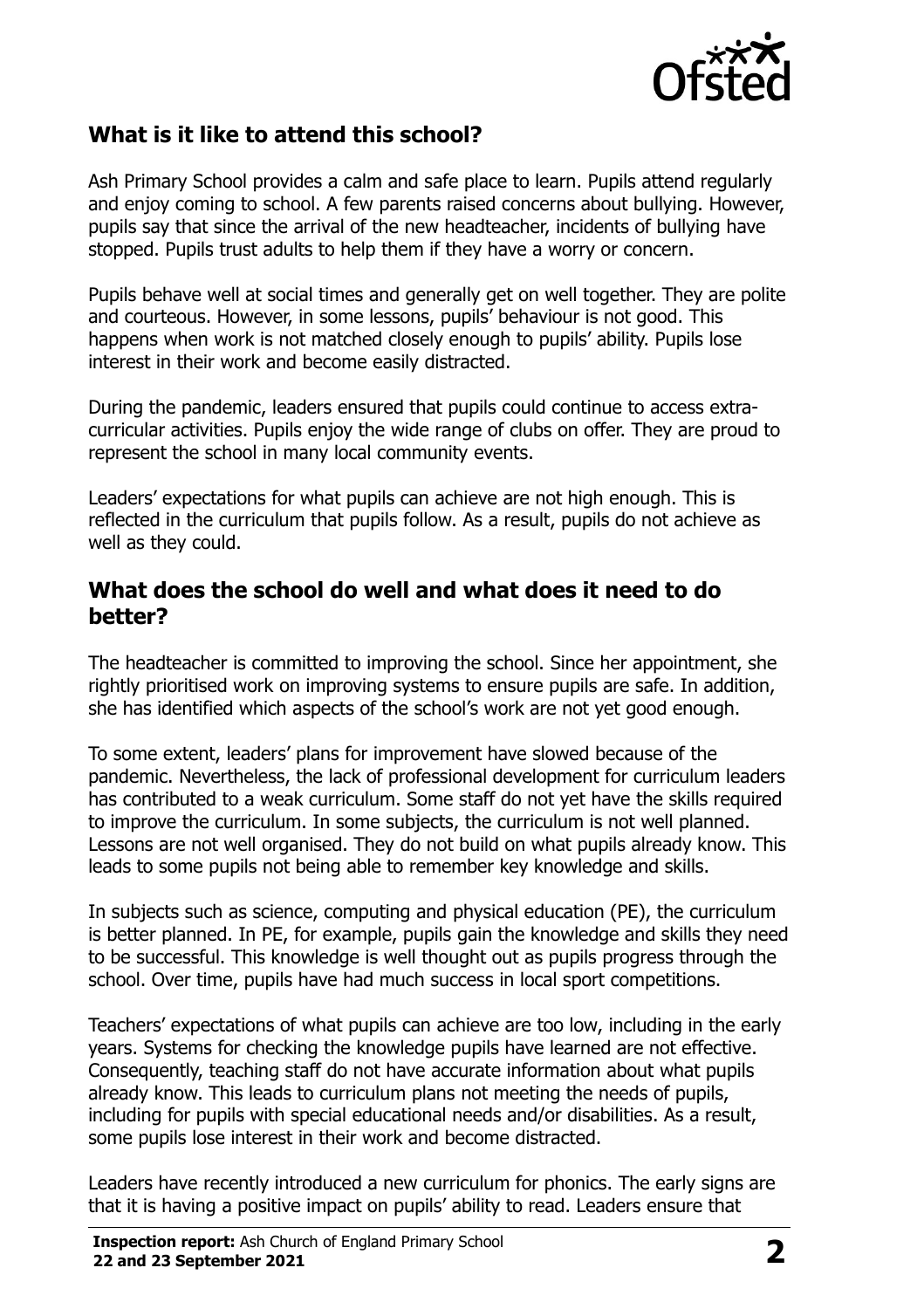

## **What is it like to attend this school?**

Ash Primary School provides a calm and safe place to learn. Pupils attend regularly and enjoy coming to school. A few parents raised concerns about bullying. However, pupils say that since the arrival of the new headteacher, incidents of bullying have stopped. Pupils trust adults to help them if they have a worry or concern.

Pupils behave well at social times and generally get on well together. They are polite and courteous. However, in some lessons, pupils' behaviour is not good. This happens when work is not matched closely enough to pupils' ability. Pupils lose interest in their work and become easily distracted.

During the pandemic, leaders ensured that pupils could continue to access extracurricular activities. Pupils enjoy the wide range of clubs on offer. They are proud to represent the school in many local community events.

Leaders' expectations for what pupils can achieve are not high enough. This is reflected in the curriculum that pupils follow. As a result, pupils do not achieve as well as they could.

#### **What does the school do well and what does it need to do better?**

The headteacher is committed to improving the school. Since her appointment, she rightly prioritised work on improving systems to ensure pupils are safe. In addition, she has identified which aspects of the school's work are not yet good enough.

To some extent, leaders' plans for improvement have slowed because of the pandemic. Nevertheless, the lack of professional development for curriculum leaders has contributed to a weak curriculum. Some staff do not yet have the skills required to improve the curriculum. In some subjects, the curriculum is not well planned. Lessons are not well organised. They do not build on what pupils already know. This leads to some pupils not being able to remember key knowledge and skills.

In subjects such as science, computing and physical education (PE), the curriculum is better planned. In PE, for example, pupils gain the knowledge and skills they need to be successful. This knowledge is well thought out as pupils progress through the school. Over time, pupils have had much success in local sport competitions.

Teachers' expectations of what pupils can achieve are too low, including in the early years. Systems for checking the knowledge pupils have learned are not effective. Consequently, teaching staff do not have accurate information about what pupils already know. This leads to curriculum plans not meeting the needs of pupils, including for pupils with special educational needs and/or disabilities. As a result, some pupils lose interest in their work and become distracted.

Leaders have recently introduced a new curriculum for phonics. The early signs are that it is having a positive impact on pupils' ability to read. Leaders ensure that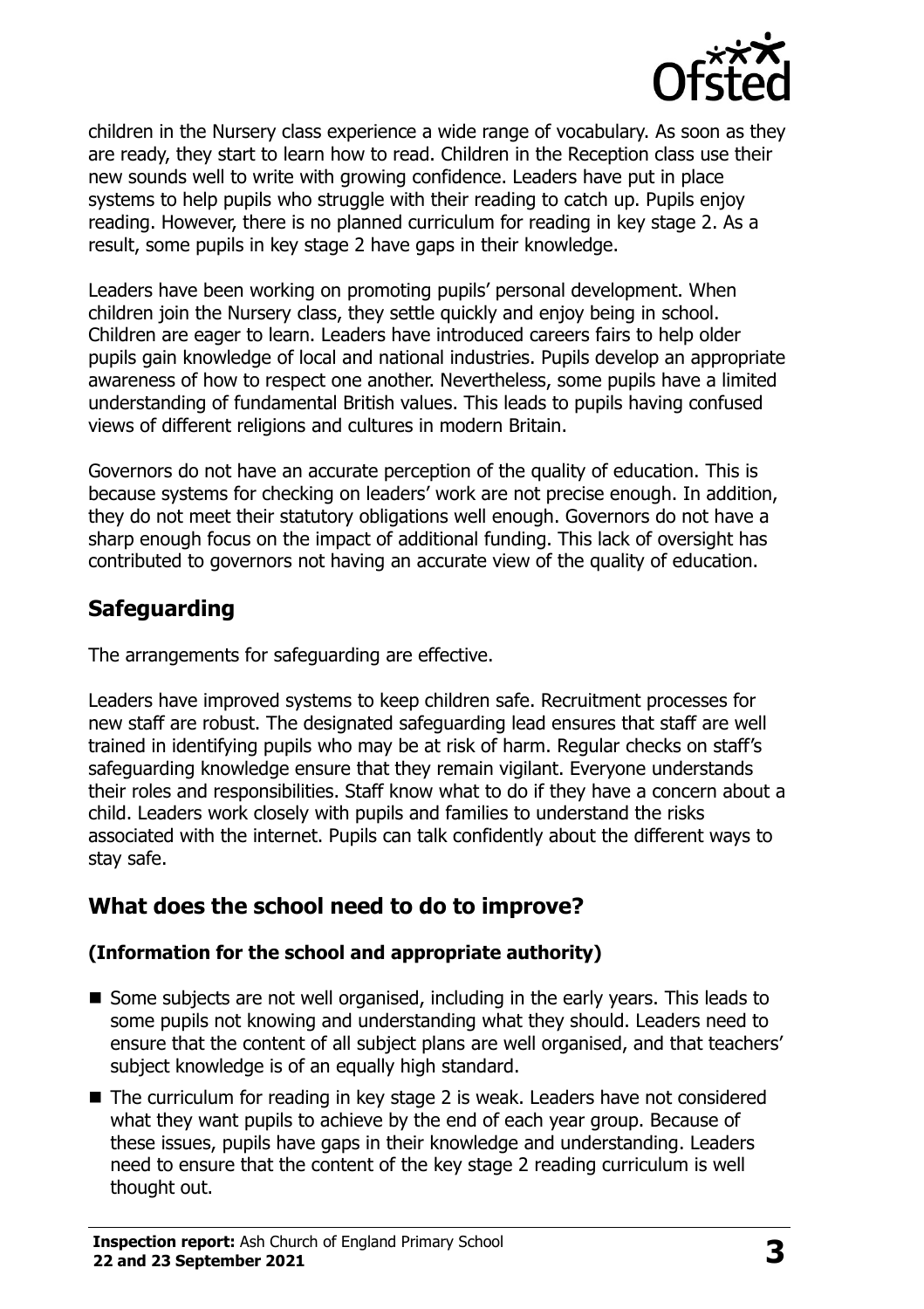

children in the Nursery class experience a wide range of vocabulary. As soon as they are ready, they start to learn how to read. Children in the Reception class use their new sounds well to write with growing confidence. Leaders have put in place systems to help pupils who struggle with their reading to catch up. Pupils enjoy reading. However, there is no planned curriculum for reading in key stage 2. As a result, some pupils in key stage 2 have gaps in their knowledge.

Leaders have been working on promoting pupils' personal development. When children join the Nursery class, they settle quickly and enjoy being in school. Children are eager to learn. Leaders have introduced careers fairs to help older pupils gain knowledge of local and national industries. Pupils develop an appropriate awareness of how to respect one another. Nevertheless, some pupils have a limited understanding of fundamental British values. This leads to pupils having confused views of different religions and cultures in modern Britain.

Governors do not have an accurate perception of the quality of education. This is because systems for checking on leaders' work are not precise enough. In addition, they do not meet their statutory obligations well enough. Governors do not have a sharp enough focus on the impact of additional funding. This lack of oversight has contributed to governors not having an accurate view of the quality of education.

# **Safeguarding**

The arrangements for safeguarding are effective.

Leaders have improved systems to keep children safe. Recruitment processes for new staff are robust. The designated safeguarding lead ensures that staff are well trained in identifying pupils who may be at risk of harm. Regular checks on staff's safeguarding knowledge ensure that they remain vigilant. Everyone understands their roles and responsibilities. Staff know what to do if they have a concern about a child. Leaders work closely with pupils and families to understand the risks associated with the internet. Pupils can talk confidently about the different ways to stay safe.

# **What does the school need to do to improve?**

#### **(Information for the school and appropriate authority)**

- $\blacksquare$  Some subjects are not well organised, including in the early years. This leads to some pupils not knowing and understanding what they should. Leaders need to ensure that the content of all subject plans are well organised, and that teachers' subject knowledge is of an equally high standard.
- The curriculum for reading in key stage 2 is weak. Leaders have not considered what they want pupils to achieve by the end of each year group. Because of these issues, pupils have gaps in their knowledge and understanding. Leaders need to ensure that the content of the key stage 2 reading curriculum is well thought out.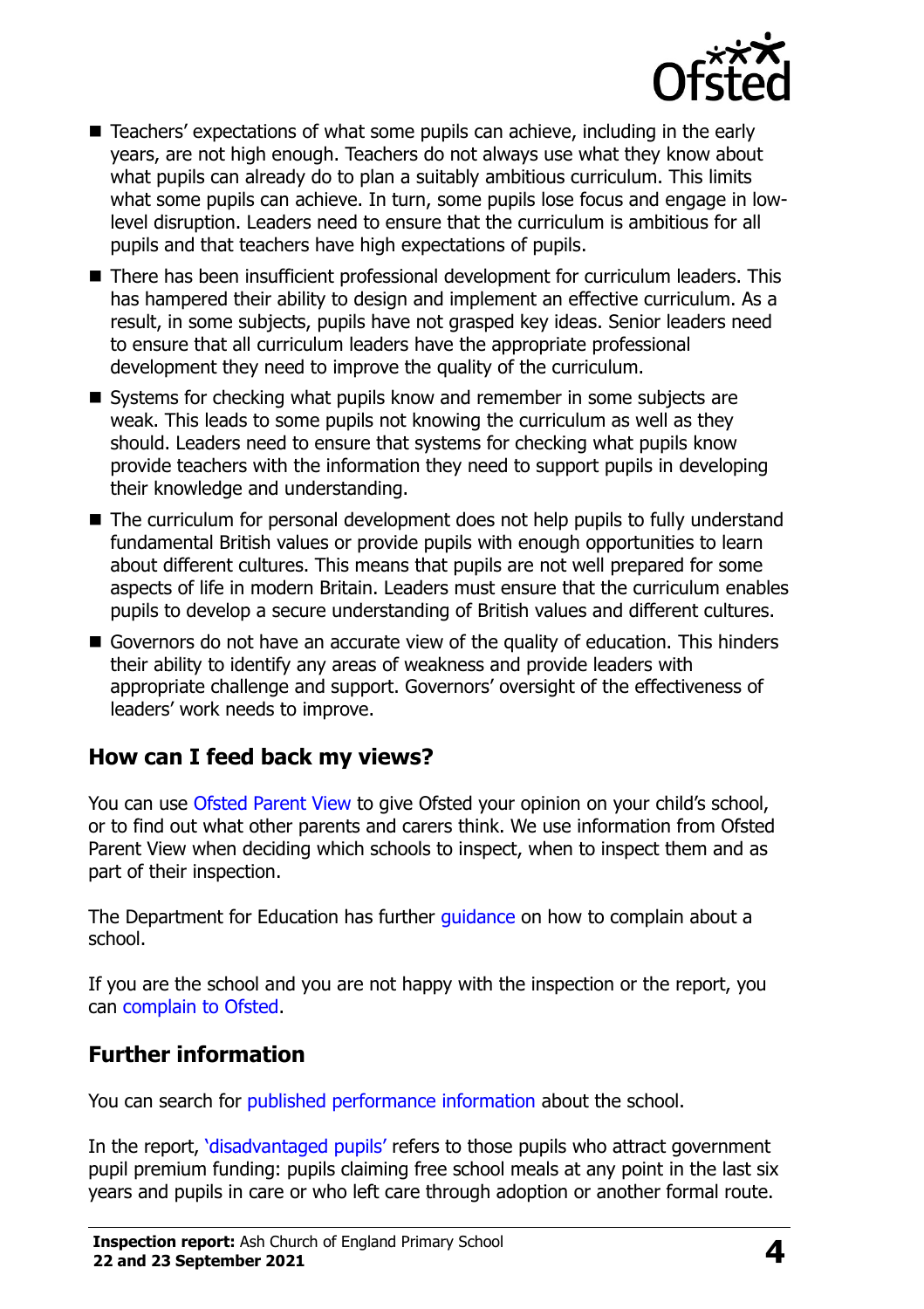

- Teachers' expectations of what some pupils can achieve, including in the early years, are not high enough. Teachers do not always use what they know about what pupils can already do to plan a suitably ambitious curriculum. This limits what some pupils can achieve. In turn, some pupils lose focus and engage in lowlevel disruption. Leaders need to ensure that the curriculum is ambitious for all pupils and that teachers have high expectations of pupils.
- There has been insufficient professional development for curriculum leaders. This has hampered their ability to design and implement an effective curriculum. As a result, in some subjects, pupils have not grasped key ideas. Senior leaders need to ensure that all curriculum leaders have the appropriate professional development they need to improve the quality of the curriculum.
- Systems for checking what pupils know and remember in some subjects are weak. This leads to some pupils not knowing the curriculum as well as they should. Leaders need to ensure that systems for checking what pupils know provide teachers with the information they need to support pupils in developing their knowledge and understanding.
- The curriculum for personal development does not help pupils to fully understand fundamental British values or provide pupils with enough opportunities to learn about different cultures. This means that pupils are not well prepared for some aspects of life in modern Britain. Leaders must ensure that the curriculum enables pupils to develop a secure understanding of British values and different cultures.
- Governors do not have an accurate view of the quality of education. This hinders their ability to identify any areas of weakness and provide leaders with appropriate challenge and support. Governors' oversight of the effectiveness of leaders' work needs to improve.

### **How can I feed back my views?**

You can use [Ofsted Parent View](http://parentview.ofsted.gov.uk/) to give Ofsted your opinion on your child's school, or to find out what other parents and carers think. We use information from Ofsted Parent View when deciding which schools to inspect, when to inspect them and as part of their inspection.

The Department for Education has further *quidance* on how to complain about a school.

If you are the school and you are not happy with the inspection or the report, you can [complain to Ofsted.](http://www.gov.uk/complain-ofsted-report)

### **Further information**

You can search for [published performance information](http://www.compare-school-performance.service.gov.uk/) about the school.

In the report, '[disadvantaged pupils](http://www.gov.uk/guidance/pupil-premium-information-for-schools-and-alternative-provision-settings)' refers to those pupils who attract government pupil premium funding: pupils claiming free school meals at any point in the last six years and pupils in care or who left care through adoption or another formal route.

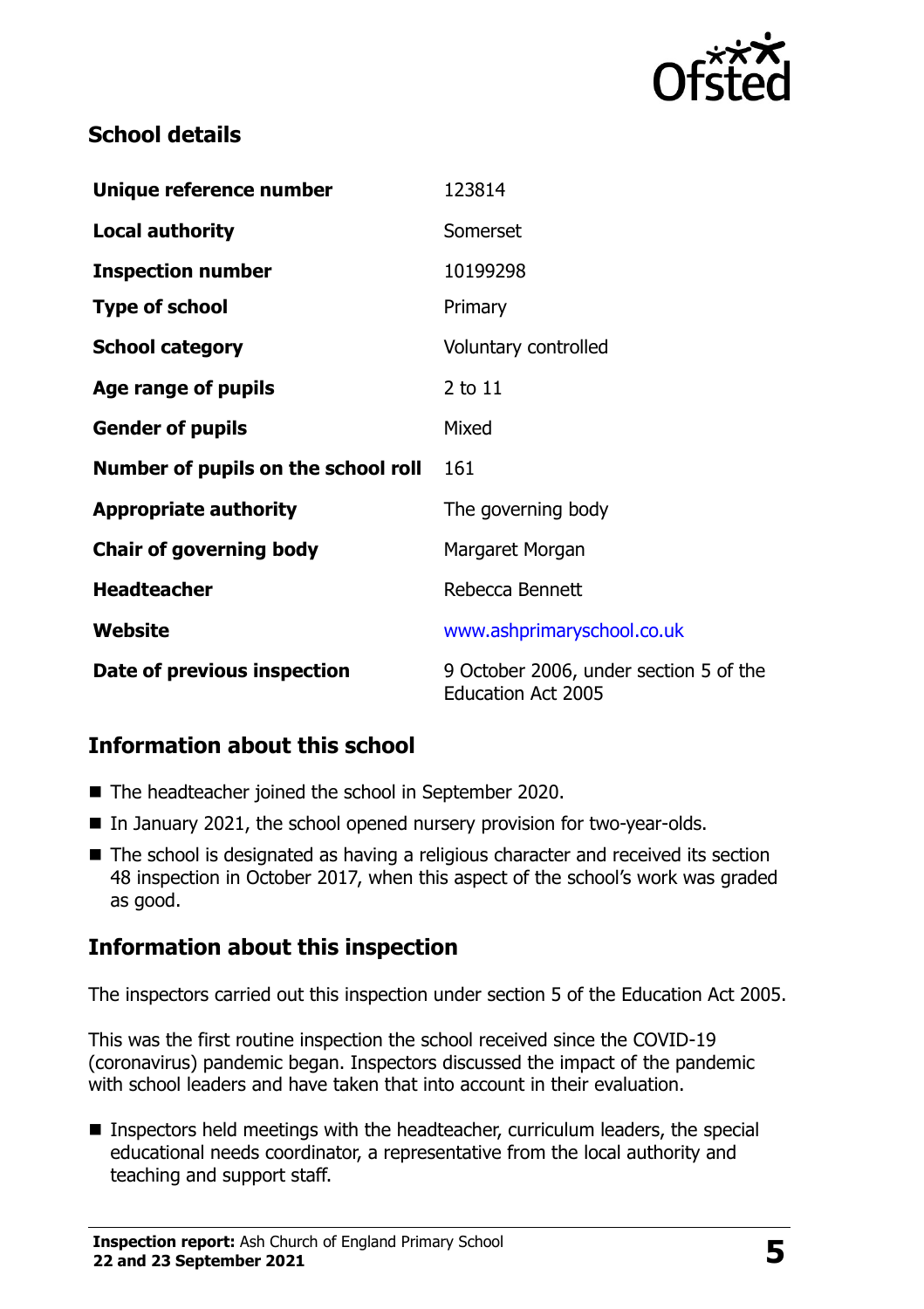

# **School details**

| Unique reference number             | 123814                                                              |
|-------------------------------------|---------------------------------------------------------------------|
| <b>Local authority</b>              | Somerset                                                            |
| <b>Inspection number</b>            | 10199298                                                            |
| <b>Type of school</b>               | Primary                                                             |
| <b>School category</b>              | Voluntary controlled                                                |
| Age range of pupils                 | 2 to 11                                                             |
| <b>Gender of pupils</b>             | Mixed                                                               |
| Number of pupils on the school roll | 161                                                                 |
| <b>Appropriate authority</b>        | The governing body                                                  |
| <b>Chair of governing body</b>      | Margaret Morgan                                                     |
| <b>Headteacher</b>                  | Rebecca Bennett                                                     |
| <b>Website</b>                      | www.ashprimaryschool.co.uk                                          |
| Date of previous inspection         | 9 October 2006, under section 5 of the<br><b>Education Act 2005</b> |

### **Information about this school**

- The headteacher joined the school in September 2020.
- In January 2021, the school opened nursery provision for two-year-olds.
- The school is designated as having a religious character and received its section 48 inspection in October 2017, when this aspect of the school's work was graded as good.

### **Information about this inspection**

The inspectors carried out this inspection under section 5 of the Education Act 2005.

This was the first routine inspection the school received since the COVID-19 (coronavirus) pandemic began. Inspectors discussed the impact of the pandemic with school leaders and have taken that into account in their evaluation.

■ Inspectors held meetings with the headteacher, curriculum leaders, the special educational needs coordinator, a representative from the local authority and teaching and support staff.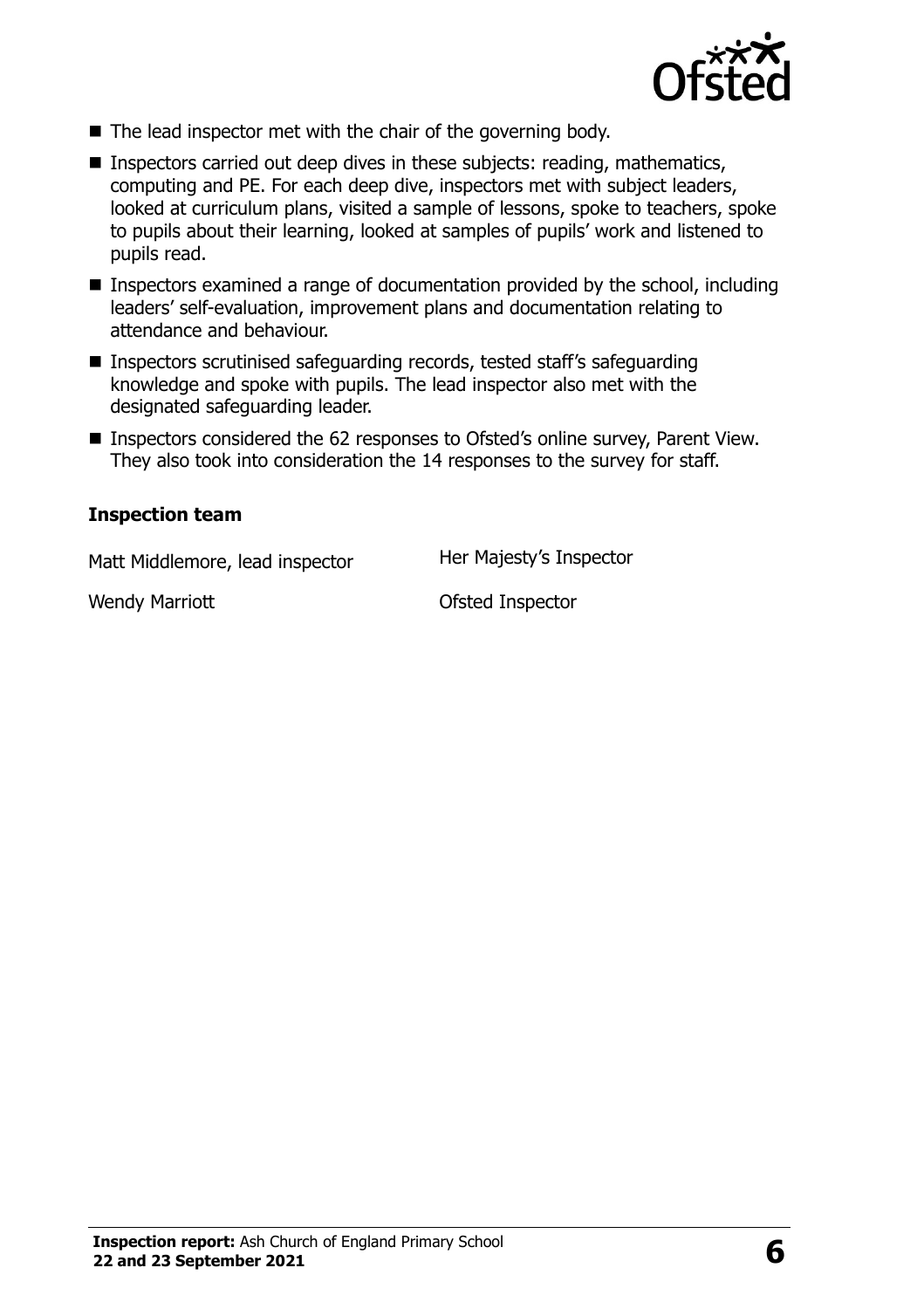

- The lead inspector met with the chair of the governing body.
- Inspectors carried out deep dives in these subjects: reading, mathematics, computing and PE. For each deep dive, inspectors met with subject leaders, looked at curriculum plans, visited a sample of lessons, spoke to teachers, spoke to pupils about their learning, looked at samples of pupils' work and listened to pupils read.
- Inspectors examined a range of documentation provided by the school, including leaders' self-evaluation, improvement plans and documentation relating to attendance and behaviour.
- Inspectors scrutinised safeguarding records, tested staff's safeguarding knowledge and spoke with pupils. The lead inspector also met with the designated safeguarding leader.
- Inspectors considered the 62 responses to Ofsted's online survey, Parent View. They also took into consideration the 14 responses to the survey for staff.

#### **Inspection team**

Matt Middlemore, lead inspector Her Majesty's Inspector

Wendy Marriott **Canadian Construction Construction Construction Construction Construction Construction Construction Construction Construction Construction Construction Construction Construction Construction Construction Co**